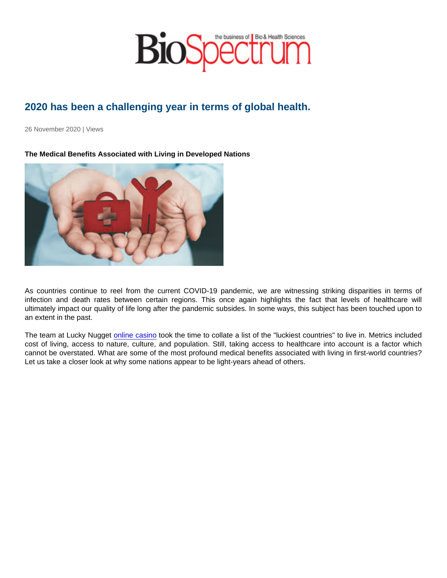# 2020 has been a challenging year in terms of global health.

26 November 2020 | Views

The Medical Benefits Associated with Living in Developed Nations

As countries continue to reel from the current COVID-19 pandemic, we are witnessing striking disparities in terms of infection and death rates between certain regions. This once again highlights the fact that levels of healthcare will ultimately impact our quality of life long after the pandemic subsides. In some ways, this subject has been touched upon to an extent in the past.

The team at Lucky Nugget [online casino](https://www.luckynuggetcasino.com/blog/whats-the-luckiest-country-to-come-from/) took the time to collate a list of the "luckiest countries" to live in. Metrics included cost of living, access to nature, culture, and population. Still, taking access to healthcare into account is a factor which cannot be overstated. What are some of the most profound medical benefits associated with living in first-world countries? Let us take a closer look at why some nations appear to be light-years ahead of others.